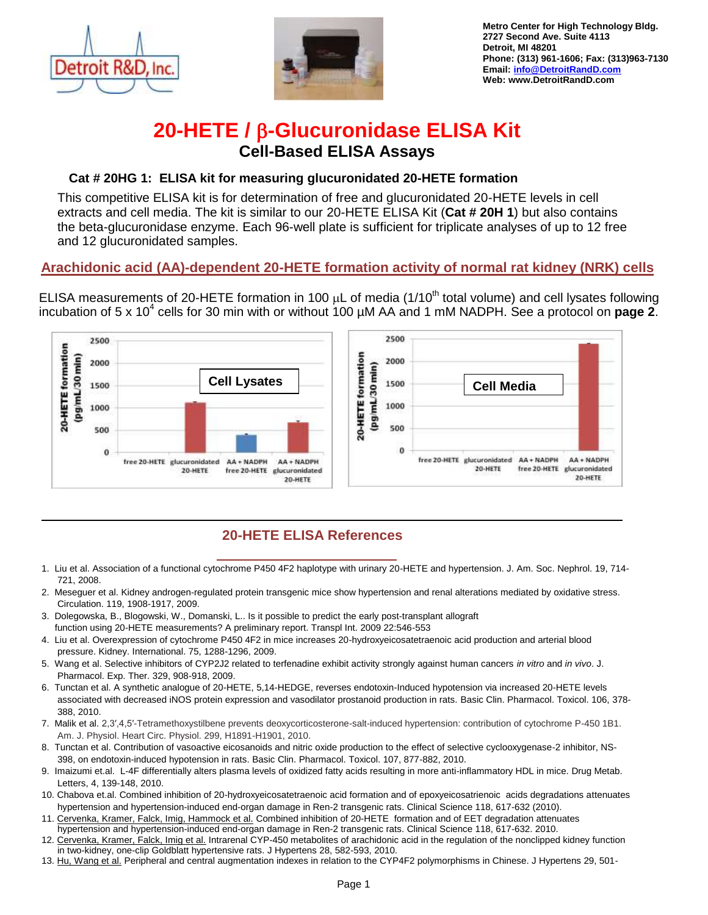



**Metro Center for High Technology Bldg. 2727 Second Ave. Suite 4113 Detroit, MI 48201 Phone: (313) 961-1606; Fax: (313)963-7130 Email: [info@DetroitRandD.com](mailto:info@DetroitRandD.com)  Web: www.DetroitRandD.com**

## **20-HETE / β-Glucuronidase ELISA Kit Cell-Based ELISA Assays**

### **Cat # 20HG 1: ELISA kit for measuring glucuronidated 20-HETE formation**

This competitive ELISA kit is for determination of free and glucuronidated 20-HETE levels in cell extracts and cell media. The kit is similar to our 20-HETE ELISA Kit (**Cat # 20H 1**) but also contains the beta-glucuronidase enzyme. Each 96-well plate is sufficient for triplicate analyses of up to 12 free and 12 glucuronidated samples.

### **Arachidonic acid (AA)-dependent 20-HETE formation activity of normal rat kidney (NRK) cells**

ELISA measurements of 20-HETE formation in 100  $\mu$ L of media (1/10<sup>th</sup> total volume) and cell lysates following incubation of 5 x 10<sup>4</sup> cells for 30 min with or without 100 µM AA and 1 mM NADPH. See a protocol on **page 2**.



## **20-HETE ELISA References**

- 1. Liu et al. Association of a functional cytochrome P450 4F2 haplotype with urinary 20-HETE and hypertension. J. Am. Soc. Nephrol. 19, 714- 721, 2008.
- 2. Meseguer et al. Kidney androgen-regulated protein transgenic mice show hypertension and renal alterations mediated by oxidative stress. Circulation. 119, 1908-1917, 2009.
- 3. Dolegowska, B., Blogowski, W., Domanski, L.. Is it possible to predict the early post-transplant allograft function using 20-HETE measurements? A preliminary report. Transpl Int. 2009 22:546-553
- 4. Liu et al. Overexpression of cytochrome P450 4F2 in mice increases 20-hydroxyeicosatetraenoic acid production and arterial blood pressure. Kidney. International. 75, 1288-1296, 2009.
- 5. Wang et al. Selective inhibitors of CYP2J2 related to terfenadine exhibit activity strongly against human cancers *in vitro* and *in vivo*. J. Pharmacol. Exp. Ther. 329, 908-918, 2009.
- 6. Tunctan et al. A synthetic analogue of 20-HETE, 5,14-HEDGE, reverses endotoxin-Induced hypotension via increased 20-HETE levels associated with decreased iNOS protein expression and vasodilator prostanoid production in rats. Basic Clin. Pharmacol. Toxicol. 106, 378- 388, 2010.
- 7. Malik et al. 2,3′,4,5′-Tetramethoxystilbene prevents deoxycorticosterone-salt-induced hypertension: contribution of cytochrome P-450 1B1. Am. J. Physiol. Heart Circ. Physiol. 299, H1891-H1901, 2010.
- 8. Tunctan et al. Contribution of vasoactive eicosanoids and nitric oxide production to the effect of selective cyclooxygenase-2 inhibitor, NS-398, on endotoxin-induced hypotension in rats. Basic Clin. Pharmacol. Toxicol. 107, 877-882, 2010.
- 9. Imaizumi et.al. L-4F differentially alters plasma levels of oxidized fatty acids resulting in more anti-inflammatory HDL in mice. Drug Metab. Letters, 4, 139-148, 2010.
- 10. Chabova et.al. Combined inhibition of 20-hydroxyeicosatetraenoic acid formation and of epoxyeicosatrienoic acids degradations attenuates hypertension and hypertension-induced end-organ damage in Ren-2 transgenic rats. Clinical Science 118, 617-632 (2010).
- 11. Cervenka, Kramer, Falck, Imig, Hammock et al. Combined inhibition of 20-HETE formation and of EET degradation attenuates hypertension and hypertension-induced end-organ damage in Ren-2 transgenic rats. Clinical Science 118, 617-632. 2010.
- 12. Cervenka, Kramer, Falck, Imig et al. Intrarenal CYP-450 metabolites of arachidonic acid in the regulation of the nonclipped kidney function in two-kidney, one-clip Goldblatt hypertensive rats. J Hypertens 28, 582-593, 2010.
- 13. Hu, Wang et al. Peripheral and central augmentation indexes in relation to the CYP4F2 polymorphisms in Chinese. J Hypertens 29, 501-